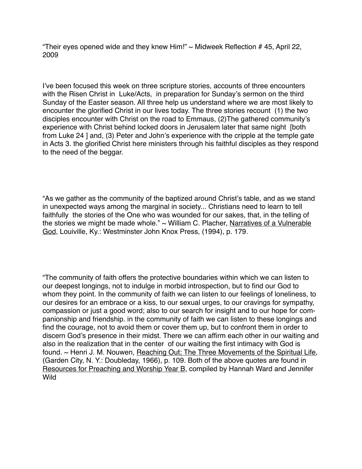"Their eyes opened wide and they knew Him!"  $\sim$  Midweek Reflection # 45, April 22, 2009

I've been focused this week on three scripture stories, accounts of three encounters with the Risen Christ in Luke/Acts, in preparation for Sunday's sermon on the third Sunday of the Easter season. All three help us understand where we are most likely to encounter the glorified Christ in our lives today. The three stories recount (1) the two disciples encounter with Christ on the road to Emmaus, (2)The gathered community's experience with Christ behind locked doors in Jerusalem later that same night [both from Luke 24 ] and, (3) Peter and John's experience with the cripple at the temple gate in Acts 3. the glorified Christ here ministers through his faithful disciples as they respond to the need of the beggar.

"As we gather as the community of the baptized around Christ's table, and as we stand in unexpected ways among the marginal in society... Christians need to learn to tell faithfully the stories of the One who was wounded for our sakes, that, in the telling of the stories we might be made whole."  $\sim$  William C. Placher, Narratives of a Vulnerable God, Louiville, Ky.: Westminster John Knox Press, (1994), p. 179.

"The community of faith offers the protective boundaries within which we can listen to our deepest longings, not to indulge in morbid introspection, but to find our God to whom they point. In the community of faith we can listen to our feelings of loneliness, to our desires for an embrace or a kiss, to our sexual urges, to our cravings for sympathy, compassion or just a good word; also to our search for insight and to our hope for companionship and friendship. in the community of faith we can listen to these longings and find the courage, not to avoid them or cover them up, but to confront them in order to discern God's presence in their midst. There we can affirm each other in our waiting and also in the realization that in the center of our waiting the first intimacy with God is found. ~ Henri J. M. Nouwen, Reaching Out; The Three Movements of the Spiritual Life, (Garden City, N. Y.: Doubleday, 1966), p. 109. Both of the above quotes are found in Resources for Preaching and Worship Year B, compiled by Hannah Ward and Jennifer Wild